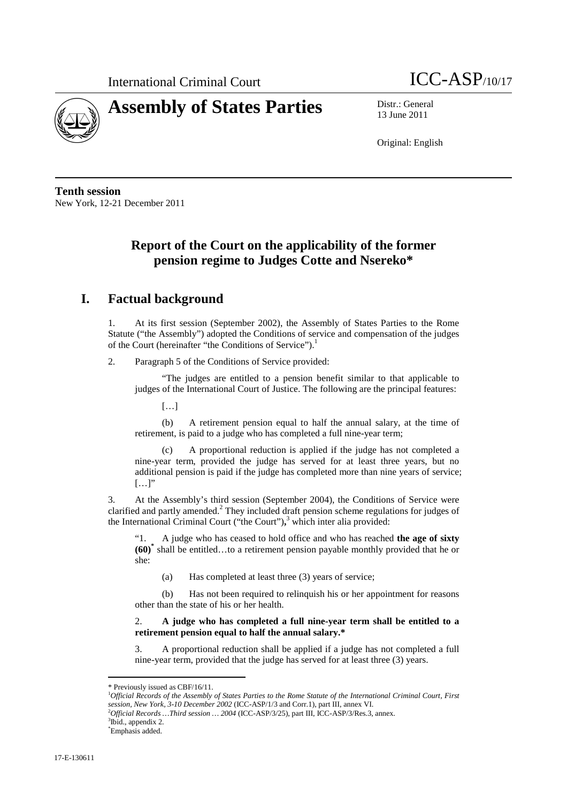



13 June 2011

Original: English

**Tenth session**  New York, 12-21 December 2011

# **Report of the Court on the applicability of the former pension regime to Judges Cotte and Nsereko\***

# **I. Factual background**

1. At its first session (September 2002), the Assembly of States Parties to the Rome Statute ("the Assembly") adopted the Conditions of service and compensation of the judges of the Court (hereinafter "the Conditions of Service").<sup>1</sup>

2. Paragraph 5 of the Conditions of Service provided:

"The judges are entitled to a pension benefit similar to that applicable to judges of the International Court of Justice. The following are the principal features:

[…]

(b) A retirement pension equal to half the annual salary, at the time of retirement, is paid to a judge who has completed a full nine-year term;

(c) A proportional reduction is applied if the judge has not completed a nine-year term, provided the judge has served for at least three years, but no additional pension is paid if the judge has completed more than nine years of service;  $[...]$ "

3. At the Assembly's third session (September 2004), the Conditions of Service were clarified and partly amended.<sup>2</sup> They included draft pension scheme regulations for judges of the International Criminal Court ("the Court")**,** <sup>3</sup> which inter alia provided:

"1. A judge who has ceased to hold office and who has reached **the age of sixty (60)\*** shall be entitled…to a retirement pension payable monthly provided that he or she:

(a) Has completed at least three (3) years of service;

(b) Has not been required to relinquish his or her appointment for reasons other than the state of his or her health.

2. **A judge who has completed a full nine-year term shall be entitled to a retirement pension equal to half the annual salary.\*** 

3. A proportional reduction shall be applied if a judge has not completed a full nine-year term, provided that the judge has served for at least three (3) years.

<sup>\*</sup> Previously issued as CBF/16/11.

<sup>1</sup>*Official Records of the Assembly of States Parties to the Rome Statute of the International Criminal Court, First session, New York, 3-10 December 2002* (ICC-ASP/1/3 and Corr.1), part III, annex VI.

<sup>2</sup>*Official Records …Third session … 2004* (ICC-ASP/3/25), part III, ICC-ASP/3/Res.3, annex.

<sup>3</sup> Ibid., appendix 2.

<sup>\*</sup>Emphasis added.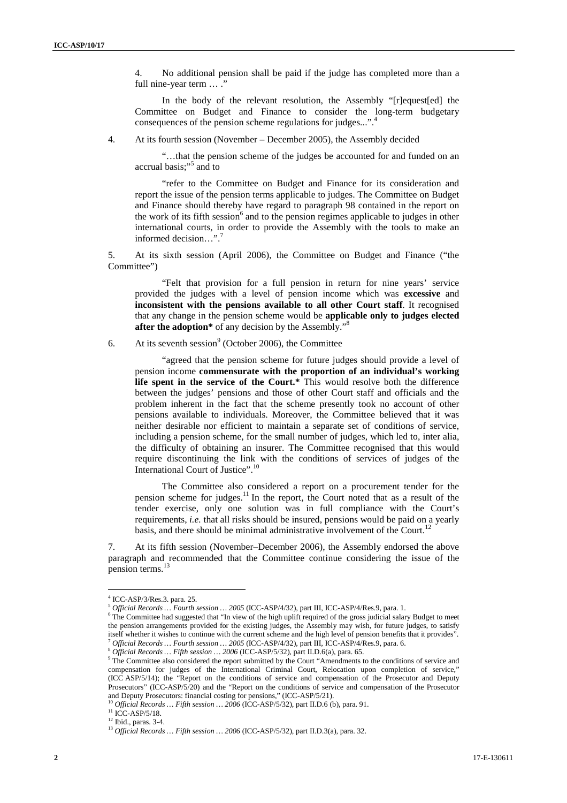4. No additional pension shall be paid if the judge has completed more than a full nine-year term ... ."

In the body of the relevant resolution, the Assembly "[r]equest[ed] the Committee on Budget and Finance to consider the long-term budgetary consequences of the pension scheme regulations for judges..."

4. At its fourth session (November – December 2005), the Assembly decided

"…that the pension scheme of the judges be accounted for and funded on an accrual basis;"<sup>5</sup> and to

"refer to the Committee on Budget and Finance for its consideration and report the issue of the pension terms applicable to judges. The Committee on Budget and Finance should thereby have regard to paragraph 98 contained in the report on the work of its fifth session $<sup>6</sup>$  and to the pension regimes applicable to judges in other</sup> international courts, in order to provide the Assembly with the tools to make an informed decision…".<sup>7</sup>

5. At its sixth session (April 2006), the Committee on Budget and Finance ("the Committee")

"Felt that provision for a full pension in return for nine years' service provided the judges with a level of pension income which was **excessive** and **inconsistent with the pensions available to all other Court staff**. It recognised that any change in the pension scheme would be **applicable only to judges elected after the adoption\*** of any decision by the Assembly."<sup>8</sup>

6. At its seventh session<sup>9</sup> (October 2006), the Committee

"agreed that the pension scheme for future judges should provide a level of pension income **commensurate with the proportion of an individual's working life spent in the service of the Court.\*** This would resolve both the difference between the judges' pensions and those of other Court staff and officials and the problem inherent in the fact that the scheme presently took no account of other pensions available to individuals. Moreover, the Committee believed that it was neither desirable nor efficient to maintain a separate set of conditions of service, including a pension scheme, for the small number of judges, which led to, inter alia, the difficulty of obtaining an insurer. The Committee recognised that this would require discontinuing the link with the conditions of services of judges of the International Court of Justice".<sup>10</sup>

The Committee also considered a report on a procurement tender for the pension scheme for judges.<sup>11</sup> In the report, the Court noted that as a result of the tender exercise, only one solution was in full compliance with the Court's requirements, *i.e.* that all risks should be insured, pensions would be paid on a yearly basis, and there should be minimal administrative involvement of the Court.

7. At its fifth session (November–December 2006), the Assembly endorsed the above paragraph and recommended that the Committee continue considering the issue of the pension terms.<sup>13</sup>

<sup>4</sup> ICC-ASP/3/Res.3. para. 25.

<sup>5</sup> *Official Records … Fourth session … 2005* (ICC-ASP/4/32), part III, ICC-ASP/4/Res.9, para. 1.

<sup>&</sup>lt;sup>6</sup> The Committee had suggested that "In view of the high uplift required of the gross judicial salary Budget to meet the pension arrangements provided for the existing judges, the Assembly may wish, for future judges, to satisfy itself whether it wishes to continue with the current scheme and the high level of pension benefits that it provides". <sup>7</sup> *Official Records … Fourth session … 2005* (ICC-ASP/4/32), part III, ICC-ASP/4/Res.9, para. 6.

<sup>8</sup> *Official Records … Fifth session … 2006* (ICC-ASP/5/32), part II.D.6(a), para. 65.

<sup>&</sup>lt;sup>9</sup> The Committee also considered the report submitted by the Court "Amendments to the conditions of service and compensation for judges of the International Criminal Court, Relocation upon completion of service," (ICC ASP/5/14); the "Report on the conditions of service and compensation of the Prosecutor and Deputy Prosecutors" (ICC-ASP/5/20) and the "Report on the conditions of service and compensation of the Prosecutor and Deputy Prosecutors: financial costing for pensions," (ICC-ASP/5/21).

<sup>10</sup> *Official Records … Fifth session … 2006* (ICC-ASP/5/32), part II.D.6 (b), para. 91.

 $11$  ICC-ASP/5/18.

<sup>12</sup> Ibid., paras. 3-4.

<sup>13</sup> *Official Records … Fifth session … 2006* (ICC-ASP/5/32), part II.D.3(a), para. 32.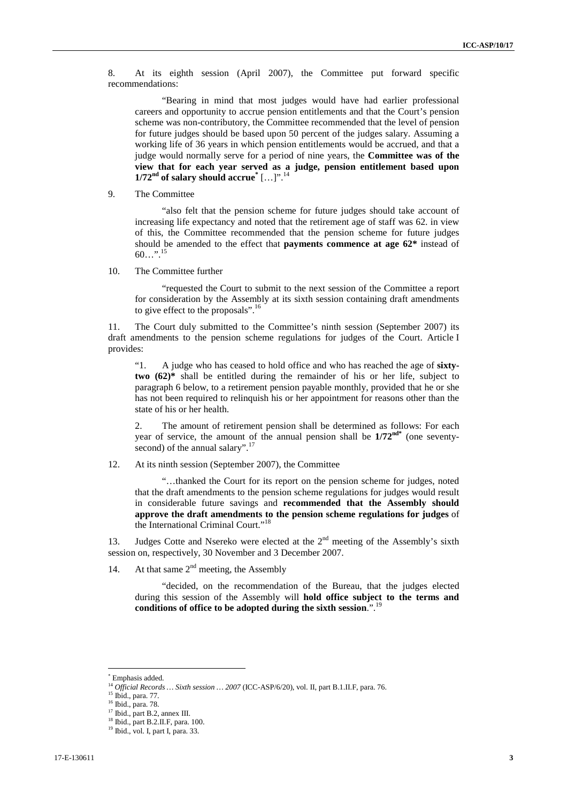8. At its eighth session (April 2007), the Committee put forward specific recommendations:

"Bearing in mind that most judges would have had earlier professional careers and opportunity to accrue pension entitlements and that the Court's pension scheme was non-contributory, the Committee recommended that the level of pension for future judges should be based upon 50 percent of the judges salary. Assuming a working life of 36 years in which pension entitlements would be accrued, and that a judge would normally serve for a period of nine years, the **Committee was of the view that for each year served as a judge, pension entitlement based upon 1/72nd of salary should accrue\*** […]".<sup>14</sup>

9. The Committee

"also felt that the pension scheme for future judges should take account of increasing life expectancy and noted that the retirement age of staff was 62. in view of this, the Committee recommended that the pension scheme for future judges should be amended to the effect that **payments commence at age 62\*** instead of  $60...$ ".<sup>15</sup>

10. The Committee further

"requested the Court to submit to the next session of the Committee a report for consideration by the Assembly at its sixth session containing draft amendments to give effect to the proposals".<sup>16</sup>

11. The Court duly submitted to the Committee's ninth session (September 2007) its draft amendments to the pension scheme regulations for judges of the Court. Article I provides:

"1. A judge who has ceased to hold office and who has reached the age of **sixtytwo (62)\*** shall be entitled during the remainder of his or her life, subject to paragraph 6 below, to a retirement pension payable monthly, provided that he or she has not been required to relinquish his or her appointment for reasons other than the state of his or her health.

The amount of retirement pension shall be determined as follows: For each year of service, the amount of the annual pension shall be  $1/72^{nd*}$  (one seventysecond) of the annual salary".<sup>17</sup>

12. At its ninth session (September 2007), the Committee

"…thanked the Court for its report on the pension scheme for judges, noted that the draft amendments to the pension scheme regulations for judges would result in considerable future savings and **recommended that the Assembly should approve the draft amendments to the pension scheme regulations for judges** of the International Criminal Court."<sup>18</sup>

13. Judges Cotte and Nsereko were elected at the  $2<sup>nd</sup>$  meeting of the Assembly's sixth session on, respectively, 30 November and 3 December 2007.

14. At that same  $2<sup>nd</sup>$  meeting, the Assembly

"decided, on the recommendation of the Bureau, that the judges elected during this session of the Assembly will **hold office subject to the terms and conditions of office to be adopted during the sixth session**.".<sup>19</sup>

<sup>\*</sup> Emphasis added.

<sup>14</sup> *Official Records … Sixth session … 2007* (ICC-ASP/6/20), vol. II, part B.1.II.F, para. 76.

<sup>&</sup>lt;sup>15</sup> Ibid., para. 77.

<sup>16</sup> Ibid., para. 78.

<sup>17</sup> Ibid., part B.2, annex III.

<sup>18</sup> Ibid., part B.2.II.F, para. 100.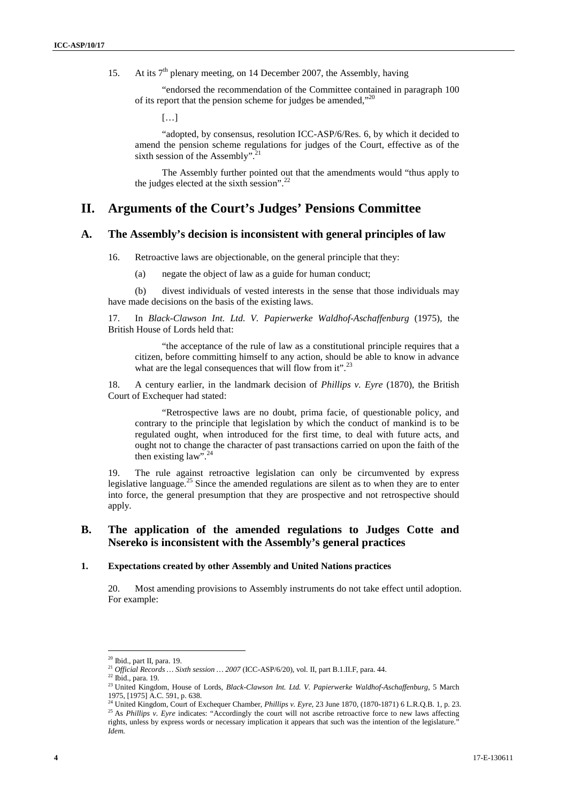15. At its  $7<sup>th</sup>$  plenary meeting, on 14 December 2007, the Assembly, having

"endorsed the recommendation of the Committee contained in paragraph 100 of its report that the pension scheme for judges be amended,"<sup>20</sup>

[…]

"adopted, by consensus, resolution ICC-ASP/6/Res. 6, by which it decided to amend the pension scheme regulations for judges of the Court, effective as of the sixth session of the Assembly".<sup>21</sup>

The Assembly further pointed out that the amendments would "thus apply to the judges elected at the sixth session".<sup>22</sup>

## **II. Arguments of the Court's Judges' Pensions Committee**

## **A. The Assembly's decision is inconsistent with general principles of law**

16. Retroactive laws are objectionable, on the general principle that they:

(a) negate the object of law as a guide for human conduct;

(b) divest individuals of vested interests in the sense that those individuals may have made decisions on the basis of the existing laws.

17. In *Black-Clawson Int. Ltd. V. Papierwerke Waldhof-Aschaffenburg* (1975), the British House of Lords held that:

"the acceptance of the rule of law as a constitutional principle requires that a citizen, before committing himself to any action, should be able to know in advance what are the legal consequences that will flow from it".<sup>23</sup>

18. A century earlier, in the landmark decision of *Phillips v. Eyre* (1870), the British Court of Exchequer had stated:

"Retrospective laws are no doubt, prima facie, of questionable policy, and contrary to the principle that legislation by which the conduct of mankind is to be regulated ought, when introduced for the first time, to deal with future acts, and ought not to change the character of past transactions carried on upon the faith of the then existing law".<sup>24</sup>

19. The rule against retroactive legislation can only be circumvented by express legislative language.<sup>25</sup> Since the amended regulations are silent as to when they are to enter into force, the general presumption that they are prospective and not retrospective should apply.

## **B. The application of the amended regulations to Judges Cotte and Nsereko is inconsistent with the Assembly's general practices**

#### **1. Expectations created by other Assembly and United Nations practices**

20. Most amending provisions to Assembly instruments do not take effect until adoption. For example:

<sup>&</sup>lt;sup>20</sup> Ibid., part II, para. 19.

<sup>21</sup> *Official Records … Sixth session … 2007* (ICC-ASP/6/20), vol. II, part B.1.II.F, para. 44.

 $22$  Ibid., para. 19.

<sup>&</sup>lt;sup>23</sup> United Kingdom, House of Lords, *Black-Clawson Int. Ltd. V. Papierwerke Waldhof-Aschaffenburg*, 5 March 1975, [1975] A.C. 591, p. 638.

<sup>24</sup> United Kingdom, Court of Exchequer Chamber, *Phillips v. Eyre*, 23 June 1870, (1870-1871) 6 L.R.Q.B. 1, p. 23. <sup>25</sup> As *Phillips v. Eyre* indicates: "Accordingly the court will not ascribe retroactive force to new laws affecting rights, unless by express words or necessary implication it appears that such was the intention of the legislature." *Idem.*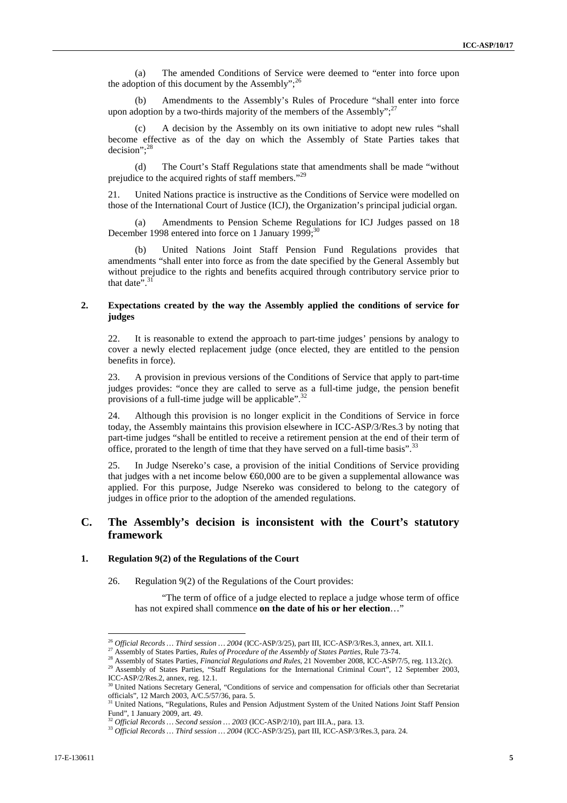(a) The amended Conditions of Service were deemed to "enter into force upon the adoption of this document by the Assembly";  $^{26}$ 

(b) Amendments to the Assembly's Rules of Procedure "shall enter into force upon adoption by a two-thirds majority of the members of the Assembly"; $^{27}$ 

(c) A decision by the Assembly on its own initiative to adopt new rules "shall become effective as of the day on which the Assembly of State Parties takes that decision";<sup>28</sup>

(d) The Court's Staff Regulations state that amendments shall be made "without prejudice to the acquired rights of staff members."<sup>29</sup>

21. United Nations practice is instructive as the Conditions of Service were modelled on those of the International Court of Justice (ICJ), the Organization's principal judicial organ.

Amendments to Pension Scheme Regulations for ICJ Judges passed on 18 December 1998 entered into force on 1 January 1999; $^{30}$ 

United Nations Joint Staff Pension Fund Regulations provides that amendments "shall enter into force as from the date specified by the General Assembly but without prejudice to the rights and benefits acquired through contributory service prior to that date $\cdot$ <sup>31</sup>

#### **2. Expectations created by the way the Assembly applied the conditions of service for judges**

22. It is reasonable to extend the approach to part-time judges' pensions by analogy to cover a newly elected replacement judge (once elected, they are entitled to the pension benefits in force).

23. A provision in previous versions of the Conditions of Service that apply to part-time judges provides: "once they are called to serve as a full-time judge, the pension benefit provisions of a full-time judge will be applicable".<sup>32</sup>

24. Although this provision is no longer explicit in the Conditions of Service in force today, the Assembly maintains this provision elsewhere in ICC-ASP/3/Res.3 by noting that part-time judges "shall be entitled to receive a retirement pension at the end of their term of office, prorated to the length of time that they have served on a full-time basis".<sup>3</sup>

25. In Judge Nsereko's case, a provision of the initial Conditions of Service providing that judges with a net income below  $\epsilon$ 60,000 are to be given a supplemental allowance was applied. For this purpose, Judge Nsereko was considered to belong to the category of judges in office prior to the adoption of the amended regulations.

## **C. The Assembly's decision is inconsistent with the Court's statutory framework**

#### **1. Regulation 9(2) of the Regulations of the Court**

26. Regulation 9(2) of the Regulations of the Court provides:

"The term of office of a judge elected to replace a judge whose term of office has not expired shall commence **on the date of his or her election**…"

<sup>28</sup> Assembly of States Parties, *Financial Regulations and Rules*, 21 November 2008, ICC-ASP/7/5, reg. 113.2(c).

<sup>26</sup> *Official Records … Third session … 2004* (ICC-ASP/3/25), part III, ICC-ASP/3/Res.3, annex, art. XII.1.

<sup>27</sup> Assembly of States Parties, *Rules of Procedure of the Assembly of States Parties*, Rule 73-74.

 $^{29}$  Assembly of States Parties, "Staff Regulations for the International Criminal Court", 12 September 2003, ICC-ASP/2/Res.2, annex, reg. 12.1.

<sup>&</sup>lt;sup>30</sup> United Nations Secretary General, "Conditions of service and compensation for officials other than Secretariat officials", 12 March 2003, A/C.5/57/36, para. 5.<br><sup>31</sup> United Nations, "Regulations, Rules and Pension Adjustment System of the United Nations Joint Staff Pension

Fund", 1 January 2009, art. 49.

<sup>32</sup> *Official Records … Second session … 2003* (ICC-ASP/2/10)*,* part III.A., para. 13.

<sup>33</sup> *Official Records … Third session … 2004* (ICC-ASP/3/25), part III, ICC-ASP/3/Res.3, para. 24.